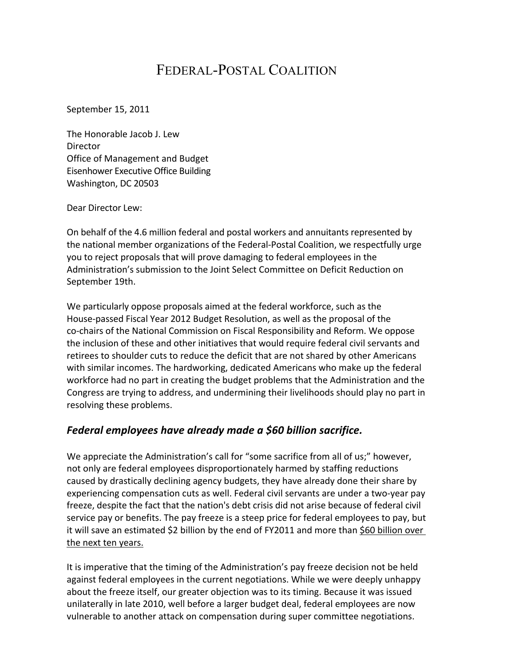# FEDERAL-POSTAL COALITION

September 15, 2011

The Honorable Jacob J. Lew **Director** Office of Management and Budget Eisenhower Executive Office Building Washington, DC 20503

Dear Director Lew:

On behalf of the 4.6 million federal and postal workers and annuitants represented by the national member organizations of the Federal-Postal Coalition, we respectfully urge you to reject proposals that will prove damaging to federal employees in the Administration's submission to the Joint Select Committee on Deficit Reduction on September 19th.

We particularly oppose proposals aimed at the federal workforce, such as the House-passed Fiscal Year 2012 Budget Resolution, as well as the proposal of the co-chairs of the National Commission on Fiscal Responsibility and Reform. We oppose the inclusion of these and other initiatives that would require federal civil servants and retirees to shoulder cuts to reduce the deficit that are not shared by other Americans with similar incomes. The hardworking, dedicated Americans who make up the federal workforce had no part in creating the budget problems that the Administration and the Congress are trying to address, and undermining their livelihoods should play no part in resolving these problems.

#### Federal employees have already made a \$60 billion sacrifice.

We appreciate the Administration's call for "some sacrifice from all of us;" however, not only are federal employees disproportionately harmed by staffing reductions caused by drastically declining agency budgets, they have already done their share by experiencing compensation cuts as well. Federal civil servants are under a two-year pay freeze, despite the fact that the nation's debt crisis did not arise because of federal civil service pay or benefits. The pay freeze is a steep price for federal employees to pay, but it will save an estimated \$2 billion by the end of FY2011 and more than \$60 billion over the next ten years.

It is imperative that the timing of the Administration's pay freeze decision not be held against federal employees in the current negotiations. While we were deeply unhappy about the freeze itself, our greater objection was to its timing. Because it was issued unilaterally in late 2010, well before a larger budget deal, federal employees are now vulnerable to another attack on compensation during super committee negotiations.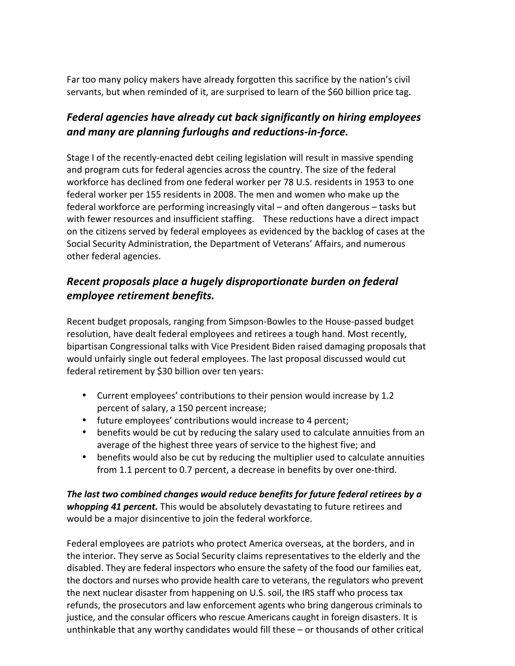Far too many policy makers have already forgotten this sacrifice by the nation's civil servants, but when reminded of it, are surprised to learn of the \$60 billion price tag.

## Federal agencies have already cut back significantly on hiring employees *and'many'are'planning'furloughs'and'reductions<in<force.*

Stage I of the recently-enacted debt ceiling legislation will result in massive spending and program cuts for federal agencies across the country. The size of the federal workforce has declined from one federal worker per 78 U.S. residents in 1953 to one federal worker per 155 residents in 2008. The men and women who make up the federal workforce are performing increasingly vital – and often dangerous – tasks but with fewer resources and insufficient staffing. These reductions have a direct impact on the citizens served by federal employees as evidenced by the backlog of cases at the Social Security Administration, the Department of Veterans' Affairs, and numerous other federal agencies.

### *Recent'proposals'place'a'hugely'disproportionate'burden'on'federal' employee'retirement'benefits.*

Recent budget proposals, ranging from Simpson-Bowles to the House-passed budget resolution, have dealt federal employees and retirees a tough hand. Most recently, bipartisan Congressional talks with Vice President Biden raised damaging proposals that would unfairly single out federal employees. The last proposal discussed would cut federal retirement by \$30 billion over ten years:

- Current employees' contributions to their pension would increase by 1.2 percent of salary, a 150 percent increase;
- future employees' contributions would increase to 4 percent;
- benefits would be cut by reducing the salary used to calculate annuities from an average of the highest three years of service to the highest five; and
- benefits would also be cut by reducing the multiplier used to calculate annuities from 1.1 percent to 0.7 percent, a decrease in benefits by over one-third.

The last two combined changes would reduce benefits for future federal retirees by a **whopping 41 percent.** This would be absolutely devastating to future retirees and would be a major disincentive to join the federal workforce.

Federal employees are patriots who protect America overseas, at the borders, and in the interior. They serve as Social Security claims representatives to the elderly and the disabled. They are federal inspectors who ensure the safety of the food our families eat, the doctors and nurses who provide health care to veterans, the regulators who prevent the next nuclear disaster from happening on U.S. soil, the IRS staff who process tax refunds, the prosecutors and law enforcement agents who bring dangerous criminals to justice, and the consular officers who rescue Americans caught in foreign disasters. It is unthinkable that any worthy candidates would fill these – or thousands of other critical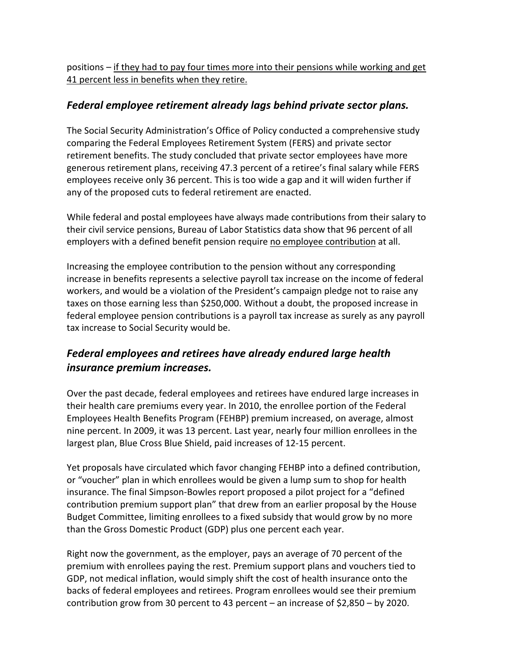positions – if they had to pay four times more into their pensions while working and get 41 percent less in benefits when they retire.

#### *Federal'employee'retirement'already'lags'behind'private'sector'plans.*

The Social Security Administration's Office of Policy conducted a comprehensive study comparing the Federal Employees Retirement System (FERS) and private sector retirement benefits. The study concluded that private sector employees have more generous retirement plans, receiving 47.3 percent of a retiree's final salary while FERS employees receive only 36 percent. This is too wide a gap and it will widen further if any of the proposed cuts to federal retirement are enacted.

While federal and postal employees have always made contributions from their salary to their civil service pensions, Bureau of Labor Statistics data show that 96 percent of all employers with a defined benefit pension require no employee contribution at all.

Increasing the employee contribution to the pension without any corresponding increase in benefits represents a selective payroll tax increase on the income of federal workers, and would be a violation of the President's campaign pledge not to raise any taxes on those earning less than \$250,000. Without a doubt, the proposed increase in federal employee pension contributions is a payroll tax increase as surely as any payroll tax increase to Social Security would be.

## Federal employees and retirees have already endured large health *insurance'premium'increases.*

Over the past decade, federal employees and retirees have endured large increases in their health care premiums every year. In 2010, the enrollee portion of the Federal Employees Health Benefits Program (FEHBP) premium increased, on average, almost nine percent. In 2009, it was 13 percent. Last year, nearly four million enrollees in the largest plan, Blue Cross Blue Shield, paid increases of 12-15 percent.

Yet proposals have circulated which favor changing FEHBP into a defined contribution, or "voucher" plan in which enrollees would be given a lump sum to shop for health insurance. The final Simpson-Bowles report proposed a pilot project for a "defined" contribution premium support plan" that drew from an earlier proposal by the House Budget Committee, limiting enrollees to a fixed subsidy that would grow by no more than the Gross Domestic Product (GDP) plus one percent each year.

Right now the government, as the employer, pays an average of 70 percent of the premium with enrollees paying the rest. Premium support plans and vouchers tied to GDP, not medical inflation, would simply shift the cost of health insurance onto the backs of federal employees and retirees. Program enrollees would see their premium contribution grow from 30 percent to 43 percent – an increase of  $$2,850 - by 2020$ .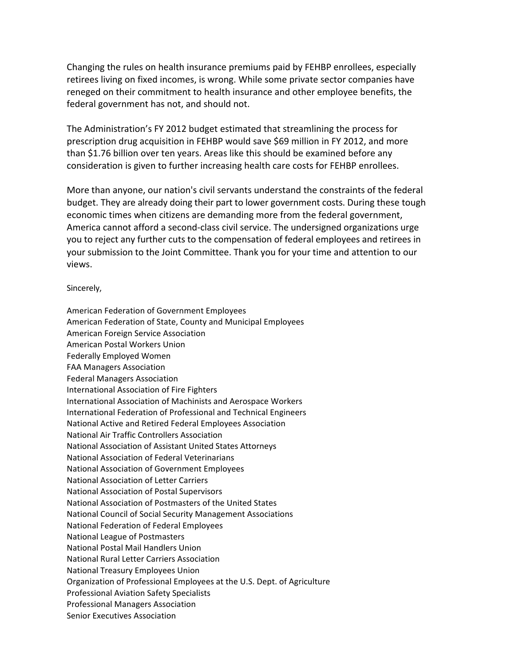Changing the rules on health insurance premiums paid by FEHBP enrollees, especially retirees living on fixed incomes, is wrong. While some private sector companies have reneged on their commitment to health insurance and other employee benefits, the federal government has not, and should not.

The Administration's FY 2012 budget estimated that streamlining the process for prescription drug acquisition in FEHBP would save \$69 million in FY 2012, and more than \$1.76 billion over ten years. Areas like this should be examined before any consideration is given to further increasing health care costs for FEHBP enrollees.

More than anyone, our nation's civil servants understand the constraints of the federal budget. They are already doing their part to lower government costs. During these tough economic times when citizens are demanding more from the federal government, America cannot afford a second-class civil service. The undersigned organizations urge you to reject any further cuts to the compensation of federal employees and retirees in your submission to the Joint Committee. Thank you for your time and attention to our views.

Sincerely,

American Federation of Government Employees American Federation of State, County and Municipal Employees American Foreign Service Association American Postal Workers Union Federally Employed Women FAA Managers Association Federal Managers Association International Association of Fire Fighters International Association of Machinists and Aerospace Workers International Federation of Professional and Technical Engineers National Active and Retired Federal Employees Association National Air Traffic Controllers Association National Association of Assistant United States Attorneys National Association of Federal Veterinarians National Association of Government Employees National Association of Letter Carriers National Association of Postal Supervisors National Association of Postmasters of the United States National Council of Social Security Management Associations National Federation of Federal Employees National League of Postmasters National Postal Mail Handlers Union National Rural Letter Carriers Association National Treasury Employees Union Organization of Professional Employees at the U.S. Dept. of Agriculture Professional Aviation Safety Specialists Professional Managers Association Senior Executives Association